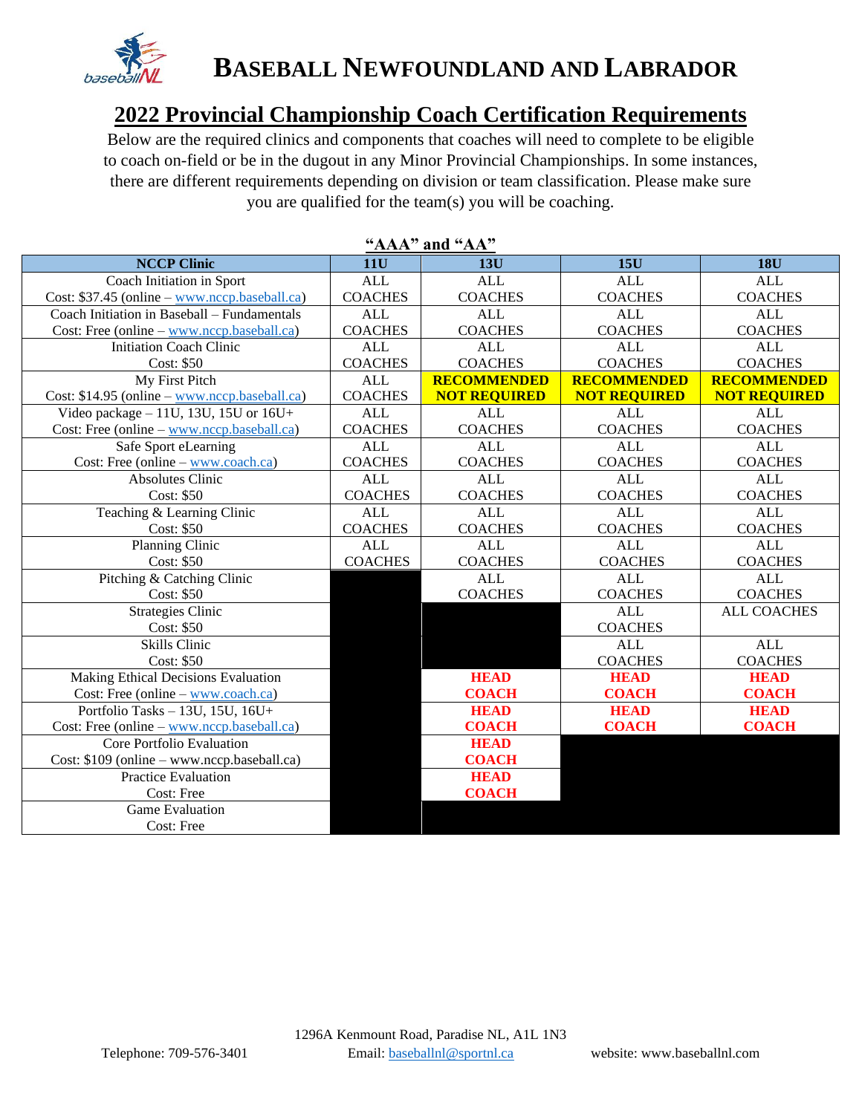

## **BASEBALL NEWFOUNDLAND AND LABRADOR**

## **2022 Provincial Championship Coach Certification Requirements**

Below are the required clinics and components that coaches will need to complete to be eligible to coach on-field or be in the dugout in any Minor Provincial Championships. In some instances, there are different requirements depending on division or team classification. Please make sure you are qualified for the team(s) you will be coaching.

| <u>ллл</u><br>ally $AA$                                 |                |                     |                     |                     |  |  |  |  |
|---------------------------------------------------------|----------------|---------------------|---------------------|---------------------|--|--|--|--|
| <b>NCCP Clinic</b>                                      | <b>11U</b>     | 13U                 | 15U                 | <b>18U</b>          |  |  |  |  |
| Coach Initiation in Sport                               | <b>ALL</b>     | <b>ALL</b>          | <b>ALL</b>          | <b>ALL</b>          |  |  |  |  |
| Cost: \$37.45 (online – www.nccp.baseball.ca)           | <b>COACHES</b> | <b>COACHES</b>      | <b>COACHES</b>      | <b>COACHES</b>      |  |  |  |  |
| Coach Initiation in Baseball - Fundamentals             | <b>ALL</b>     | <b>ALL</b>          | <b>ALL</b>          | <b>ALL</b>          |  |  |  |  |
| $Cost: Free (online - www.nccp.baseball.ca)$            | <b>COACHES</b> | <b>COACHES</b>      | <b>COACHES</b>      | <b>COACHES</b>      |  |  |  |  |
| <b>Initiation Coach Clinic</b>                          | <b>ALL</b>     | <b>ALL</b>          | <b>ALL</b>          | <b>ALL</b>          |  |  |  |  |
| Cost: \$50                                              | <b>COACHES</b> | <b>COACHES</b>      | <b>COACHES</b>      | <b>COACHES</b>      |  |  |  |  |
| My First Pitch                                          | <b>ALL</b>     | <b>RECOMMENDED</b>  | <b>RECOMMENDED</b>  | <b>RECOMMENDED</b>  |  |  |  |  |
| Cost: \$14.95 (online - www.nccp.baseball.ca)           | <b>COACHES</b> | <b>NOT REQUIRED</b> | <b>NOT REQUIRED</b> | <b>NOT REQUIRED</b> |  |  |  |  |
| Video package $-11U$ , 13U, 15U or $16U+$               | <b>ALL</b>     | <b>ALL</b>          | <b>ALL</b>          | <b>ALL</b>          |  |  |  |  |
| Cost: Free (online $-\underline{www.nccp.baseball.ca})$ | <b>COACHES</b> | <b>COACHES</b>      | <b>COACHES</b>      | <b>COACHES</b>      |  |  |  |  |
| Safe Sport eLearning                                    | <b>ALL</b>     | <b>ALL</b>          | <b>ALL</b>          | <b>ALL</b>          |  |  |  |  |
| Cost: Free (online $-\underline{www.coach.ca)}$         | <b>COACHES</b> | <b>COACHES</b>      | <b>COACHES</b>      | <b>COACHES</b>      |  |  |  |  |
| <b>Absolutes Clinic</b>                                 | <b>ALL</b>     | <b>ALL</b>          | <b>ALL</b>          | <b>ALL</b>          |  |  |  |  |
| Cost: \$50                                              | <b>COACHES</b> | <b>COACHES</b>      | <b>COACHES</b>      | <b>COACHES</b>      |  |  |  |  |
| Teaching & Learning Clinic                              | <b>ALL</b>     | <b>ALL</b>          | <b>ALL</b>          | <b>ALL</b>          |  |  |  |  |
| Cost: \$50                                              | <b>COACHES</b> | <b>COACHES</b>      | <b>COACHES</b>      | <b>COACHES</b>      |  |  |  |  |
| Planning Clinic                                         | <b>ALL</b>     | <b>ALL</b>          | <b>ALL</b>          | <b>ALL</b>          |  |  |  |  |
| Cost: \$50                                              | <b>COACHES</b> | <b>COACHES</b>      | <b>COACHES</b>      | <b>COACHES</b>      |  |  |  |  |
| Pitching & Catching Clinic                              |                | <b>ALL</b>          | <b>ALL</b>          | <b>ALL</b>          |  |  |  |  |
| Cost: \$50                                              |                | <b>COACHES</b>      | <b>COACHES</b>      | <b>COACHES</b>      |  |  |  |  |
| <b>Strategies Clinic</b>                                |                |                     | <b>ALL</b>          | <b>ALL COACHES</b>  |  |  |  |  |
| Cost: \$50                                              |                |                     | <b>COACHES</b>      |                     |  |  |  |  |
| <b>Skills Clinic</b>                                    |                |                     | <b>ALL</b>          | <b>ALL</b>          |  |  |  |  |
| Cost: \$50                                              |                |                     | <b>COACHES</b>      | <b>COACHES</b>      |  |  |  |  |
| Making Ethical Decisions Evaluation                     |                | <b>HEAD</b>         | <b>HEAD</b>         | <b>HEAD</b>         |  |  |  |  |
| Cost: Free (online $-\underline{www.coach.ca})$         |                | <b>COACH</b>        | <b>COACH</b>        | <b>COACH</b>        |  |  |  |  |
| Portfolio Tasks - 13U, 15U, 16U+                        |                | <b>HEAD</b>         | <b>HEAD</b>         | <b>HEAD</b>         |  |  |  |  |
| $Cost: Free (online - www.nccp.baseball.ca)$            |                | <b>COACH</b>        | <b>COACH</b>        | <b>COACH</b>        |  |  |  |  |
| Core Portfolio Evaluation                               |                | <b>HEAD</b>         |                     |                     |  |  |  |  |
| Cost: \$109 (online – www.nccp.baseball.ca)             |                | <b>COACH</b>        |                     |                     |  |  |  |  |
| <b>Practice Evaluation</b>                              |                | <b>HEAD</b>         |                     |                     |  |  |  |  |
| Cost: Free                                              |                | <b>COACH</b>        |                     |                     |  |  |  |  |
| <b>Game Evaluation</b>                                  |                |                     |                     |                     |  |  |  |  |
| Cost: Free                                              |                |                     |                     |                     |  |  |  |  |

## **"AAA" and "AA"**